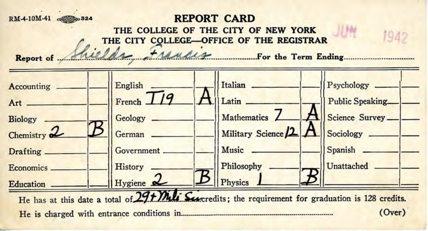## **RM-4-10M-41**  $\bullet$  324 **REPORT CARD**

THE COLLEGE OF THE CITY OF NEW YORK

1040

**Report of Shields** France CILEGE OF THE REGISTRAR<br>Report of Shields Francis For the Term Ending



He is charged with entrance conditions in ....................................................................... . **(Over)**